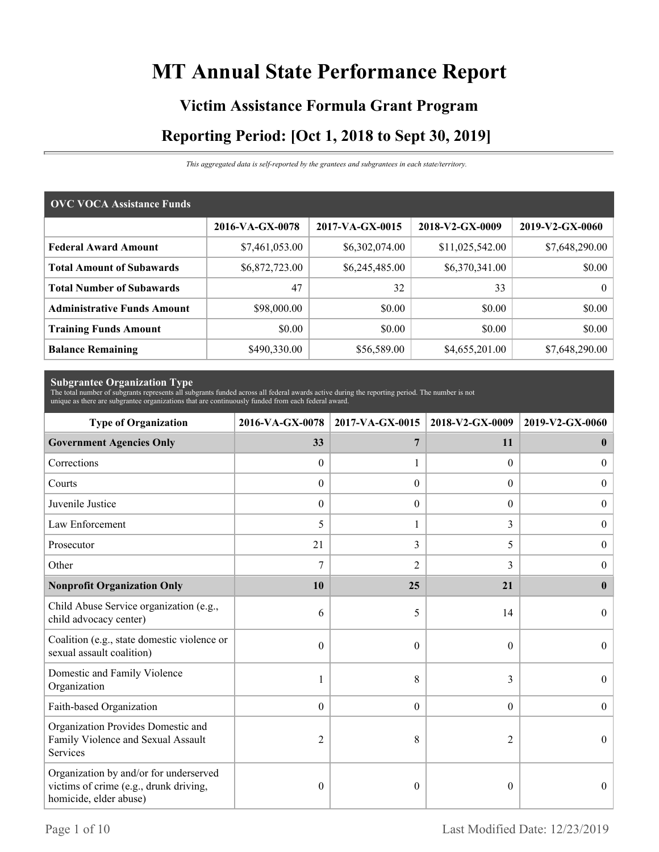# **MT Annual State Performance Report**

# **Victim Assistance Formula Grant Program Reporting Period: [Oct 1, 2018 to Sept 30, 2019]**

*This aggregated data is self-reported by the grantees and subgrantees in each state/territory.*

| <b>OVC VOCA Assistance Funds</b>   |                 |                 |                 |                 |  |  |
|------------------------------------|-----------------|-----------------|-----------------|-----------------|--|--|
|                                    | 2016-VA-GX-0078 | 2017-VA-GX-0015 | 2018-V2-GX-0009 | 2019-V2-GX-0060 |  |  |
| <b>Federal Award Amount</b>        | \$7,461,053.00  | \$6,302,074.00  | \$11,025,542.00 | \$7,648,290.00  |  |  |
| <b>Total Amount of Subawards</b>   | \$6,872,723.00  | \$6,245,485.00  | \$6,370,341.00  | \$0.00          |  |  |
| <b>Total Number of Subawards</b>   | 47              | 32              | 33              | 0 <sup>1</sup>  |  |  |
| <b>Administrative Funds Amount</b> | \$98,000.00     | \$0.00          | \$0.00          | \$0.00          |  |  |
| <b>Training Funds Amount</b>       | \$0.00          | \$0.00          | \$0.00          | \$0.00          |  |  |
| <b>Balance Remaining</b>           | \$490,330.00    | \$56,589.00     | \$4,655,201.00  | \$7,648,290.00  |  |  |

**Subgrantee Organization Type** The total number of subgrants represents all subgrants funded across all federal awards active during the reporting period. The number is not unique as there are subgrantee organizations that are continuously funded from each federal award.

| <b>Type of Organization</b>                                                                                | 2016-VA-GX-0078  | 2017-VA-GX-0015  | 2018-V2-GX-0009 | 2019-V2-GX-0060  |
|------------------------------------------------------------------------------------------------------------|------------------|------------------|-----------------|------------------|
| <b>Government Agencies Only</b>                                                                            | 33               | 7                | 11              | $\mathbf{0}$     |
| Corrections                                                                                                | $\mathbf{0}$     |                  | $\theta$        | $\overline{0}$   |
| Courts                                                                                                     | $\mathbf{0}$     | $\theta$         | $\Omega$        | $\boldsymbol{0}$ |
| Juvenile Justice                                                                                           | $\boldsymbol{0}$ | $\boldsymbol{0}$ | $\overline{0}$  | $\boldsymbol{0}$ |
| Law Enforcement                                                                                            | 5                | 1                | 3               | $\overline{0}$   |
| Prosecutor                                                                                                 | 21               | 3                | 5               | $\boldsymbol{0}$ |
| Other                                                                                                      | 7                | 2                | 3               | $\overline{0}$   |
| <b>Nonprofit Organization Only</b>                                                                         | 10               | 25               | 21              | $\mathbf{0}$     |
| Child Abuse Service organization (e.g.,<br>child advocacy center)                                          | 6                | 5                | 14              | $\Omega$         |
| Coalition (e.g., state domestic violence or<br>sexual assault coalition)                                   | $\mathbf{0}$     | $\theta$         | $\theta$        | $\Omega$         |
| Domestic and Family Violence<br>Organization                                                               | 1                | 8                | 3               | $\boldsymbol{0}$ |
| Faith-based Organization                                                                                   | $\boldsymbol{0}$ | $\theta$         | $\theta$        | $\theta$         |
| Organization Provides Domestic and<br>Family Violence and Sexual Assault<br>Services                       | $\overline{2}$   | 8                | $\overline{2}$  | $\theta$         |
| Organization by and/or for underserved<br>victims of crime (e.g., drunk driving,<br>homicide, elder abuse) | $\boldsymbol{0}$ | $\theta$         | $\theta$        | $\Omega$         |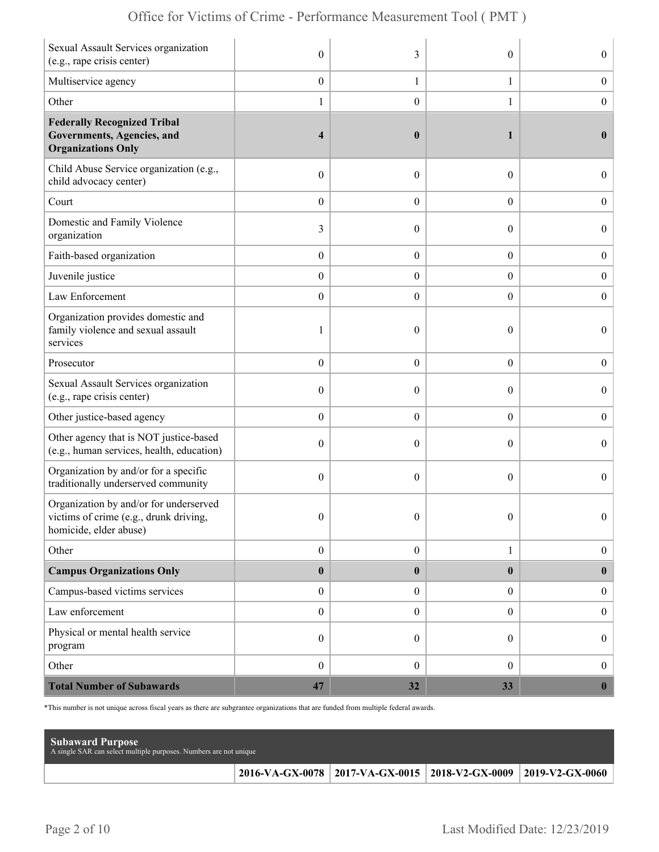| Sexual Assault Services organization<br>(e.g., rape crisis center)                                        | $\mathbf{0}$            | 3                | $\theta$         | $\overline{0}$   |
|-----------------------------------------------------------------------------------------------------------|-------------------------|------------------|------------------|------------------|
| Multiservice agency                                                                                       | $\boldsymbol{0}$        | $\mathbf{1}$     | $\mathbf{1}$     | $\boldsymbol{0}$ |
| Other                                                                                                     | $\mathbf{1}$            | $\boldsymbol{0}$ | 1                | $\boldsymbol{0}$ |
| <b>Federally Recognized Tribal</b><br>Governments, Agencies, and<br><b>Organizations Only</b>             | $\overline{\mathbf{4}}$ | $\boldsymbol{0}$ | 1                | $\bf{0}$         |
| Child Abuse Service organization (e.g.,<br>child advocacy center)                                         | $\boldsymbol{0}$        | $\theta$         | $\boldsymbol{0}$ | $\overline{0}$   |
| Court                                                                                                     | $\boldsymbol{0}$        | $\overline{0}$   | $\overline{0}$   | $\boldsymbol{0}$ |
| Domestic and Family Violence<br>organization                                                              | 3                       | $\theta$         | $\theta$         | $\boldsymbol{0}$ |
| Faith-based organization                                                                                  | $\boldsymbol{0}$        | $\boldsymbol{0}$ | $\boldsymbol{0}$ | $\boldsymbol{0}$ |
| Juvenile justice                                                                                          | $\boldsymbol{0}$        | $\overline{0}$   | $\boldsymbol{0}$ | $\boldsymbol{0}$ |
| Law Enforcement                                                                                           | $\boldsymbol{0}$        | $\theta$         | $\overline{0}$   | $\mathbf{0}$     |
| Organization provides domestic and<br>family violence and sexual assault<br>services                      | 1                       | $\mathbf{0}$     | $\theta$         | $\overline{0}$   |
| Prosecutor                                                                                                | $\boldsymbol{0}$        | $\overline{0}$   | $\overline{0}$   | $\boldsymbol{0}$ |
| Sexual Assault Services organization<br>(e.g., rape crisis center)                                        | $\mathbf{0}$            | $\theta$         | $\theta$         | $\overline{0}$   |
| Other justice-based agency                                                                                | $\boldsymbol{0}$        | $\overline{0}$   | $\boldsymbol{0}$ | $\boldsymbol{0}$ |
| Other agency that is NOT justice-based<br>(e.g., human services, health, education)                       | $\boldsymbol{0}$        | $\overline{0}$   | $\theta$         | $\overline{0}$   |
| Organization by and/or for a specific<br>traditionally underserved community                              | $\boldsymbol{0}$        | $\theta$         | $\theta$         | $\overline{0}$   |
| Organization by and/or for underserved<br>victims of crime (e.g., drunk driving<br>homicide, elder abuse) | $\mathbf{0}$            | $\mathbf{0}$     | $\theta$         | $\overline{0}$   |
| Other                                                                                                     | $\boldsymbol{0}$        | $\boldsymbol{0}$ | $\mathbf{1}$     | $\boldsymbol{0}$ |
| <b>Campus Organizations Only</b>                                                                          | $\pmb{0}$               | $\bf{0}$         | $\bf{0}$         | $\bf{0}$         |
| Campus-based victims services                                                                             | $\boldsymbol{0}$        | $\overline{0}$   | $\overline{0}$   | $\boldsymbol{0}$ |
| Law enforcement                                                                                           | $\boldsymbol{0}$        | $\boldsymbol{0}$ | $\boldsymbol{0}$ | $\boldsymbol{0}$ |
| Physical or mental health service<br>program                                                              | $\boldsymbol{0}$        | $\overline{0}$   | $\overline{0}$   | $\boldsymbol{0}$ |
| Other                                                                                                     | $\boldsymbol{0}$        | $\mathbf{0}$     | $\overline{0}$   | $\boldsymbol{0}$ |
| <b>Total Number of Subawards</b>                                                                          | 47                      | 32               | 33               | $\boldsymbol{0}$ |

\*This number is not unique across fiscal years as there are subgrantee organizations that are funded from multiple federal awards.

| <b>Subaward Purpose</b><br>A single SAR can select multiple purposes. Numbers are not unique |                                                                       |  |
|----------------------------------------------------------------------------------------------|-----------------------------------------------------------------------|--|
|                                                                                              | 2016-VA-GX-0078   2017-VA-GX-0015   2018-V2-GX-0009   2019-V2-GX-0060 |  |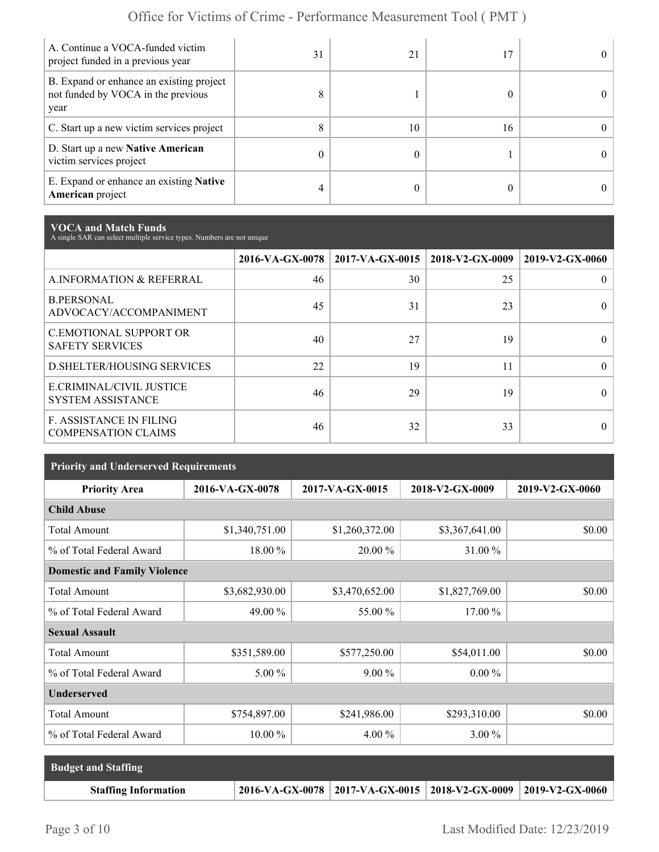| A. Continue a VOCA-funded victim<br>project funded in a previous year                  | 31 | 21 |    |  |
|----------------------------------------------------------------------------------------|----|----|----|--|
| B. Expand or enhance an existing project<br>not funded by VOCA in the previous<br>year | 8  |    |    |  |
| C. Start up a new victim services project                                              | 8  | 10 | 16 |  |
| D. Start up a new Native American<br>victim services project                           | 0  |    |    |  |
| E. Expand or enhance an existing <b>Native</b><br>American project                     | 4  |    |    |  |

**VOCA and Match Funds** A single SAR can select multiple service types. Numbers are not unique

|                                                         | 2016-VA-GX-0078 | $2017$ -VA-GX-0015   2018-V2-GX-0009 |    | 2019-V2-GX-0060 |
|---------------------------------------------------------|-----------------|--------------------------------------|----|-----------------|
| A.INFORMATION & REFERRAL                                | 46              | 30                                   | 25 |                 |
| <b>B.PERSONAL</b><br>ADVOCACY/ACCOMPANIMENT             | 45              | 31                                   | 23 | $\theta$        |
| <b>C.EMOTIONAL SUPPORT OR</b><br><b>SAFETY SERVICES</b> | 40              | 27                                   | 19 |                 |
| <b>D.SHELTER/HOUSING SERVICES</b>                       | 22              | 19                                   | 11 | 0               |
| E.CRIMINAL/CIVIL JUSTICE<br><b>SYSTEM ASSISTANCE</b>    | 46              | 29                                   | 19 |                 |
| F. ASSISTANCE IN FILING<br><b>COMPENSATION CLAIMS</b>   | 46              | 32                                   | 33 |                 |

| <b>Priority and Underserved Requirements</b> |                 |                 |                 |                 |  |
|----------------------------------------------|-----------------|-----------------|-----------------|-----------------|--|
| <b>Priority Area</b>                         | 2016-VA-GX-0078 | 2017-VA-GX-0015 | 2018-V2-GX-0009 | 2019-V2-GX-0060 |  |
| <b>Child Abuse</b>                           |                 |                 |                 |                 |  |
| <b>Total Amount</b>                          | \$1,340,751.00  | \$1,260,372.00  | \$3,367,641.00  | \$0.00          |  |
| % of Total Federal Award                     | 18.00 %         | 20.00 %         | 31.00 %         |                 |  |
| <b>Domestic and Family Violence</b>          |                 |                 |                 |                 |  |
| <b>Total Amount</b>                          | \$3,682,930.00  | \$3,470,652.00  | \$1,827,769.00  | \$0.00          |  |
| % of Total Federal Award                     | 49.00 %         | 55.00 %         | $17.00\%$       |                 |  |
| <b>Sexual Assault</b>                        |                 |                 |                 |                 |  |
| <b>Total Amount</b>                          | \$351,589.00    | \$577,250.00    | \$54,011.00     | \$0.00          |  |
| % of Total Federal Award                     | $5.00\%$        | $9.00\%$        | $0.00\%$        |                 |  |
| <b>Underserved</b>                           |                 |                 |                 |                 |  |
| <b>Total Amount</b>                          | \$754,897.00    | \$241,986.00    | \$293,310.00    | \$0.00          |  |
| % of Total Federal Award                     | $10.00\%$       | $4.00\%$        | $3.00\%$        |                 |  |

| <b>Budget and Staffing</b>  |                                                                       |  |
|-----------------------------|-----------------------------------------------------------------------|--|
| <b>Staffing Information</b> | 2016-VA-GX-0078   2017-VA-GX-0015   2018-V2-GX-0009   2019-V2-GX-0060 |  |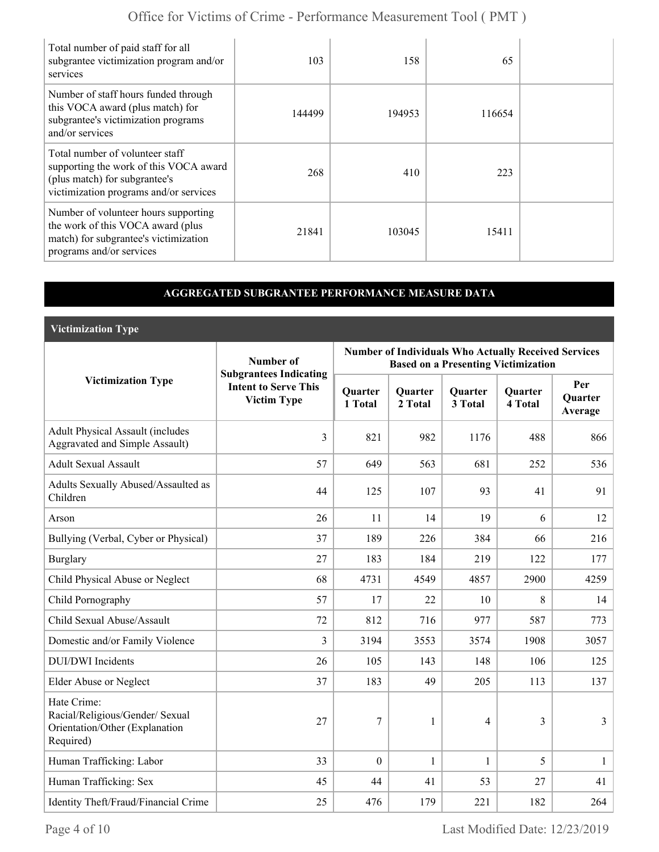| Total number of paid staff for all<br>subgrantee victimization program and/or<br>services                                                            | 103    | 158    | 65     |  |
|------------------------------------------------------------------------------------------------------------------------------------------------------|--------|--------|--------|--|
| Number of staff hours funded through<br>this VOCA award (plus match) for<br>subgrantee's victimization programs<br>and/or services                   | 144499 | 194953 | 116654 |  |
| Total number of volunteer staff<br>supporting the work of this VOCA award<br>(plus match) for subgrantee's<br>victimization programs and/or services | 268    | 410    | 223    |  |
| Number of volunteer hours supporting<br>the work of this VOCA award (plus<br>match) for subgrantee's victimization<br>programs and/or services       | 21841  | 103045 | 15411  |  |

#### **AGGREGATED SUBGRANTEE PERFORMANCE MEASURE DATA**

**Victimization Type**

|                                                                                               | Number of                                                                          | <b>Number of Individuals Who Actually Received Services</b><br><b>Based on a Presenting Victimization</b> |                    |                    |                           |                                  |
|-----------------------------------------------------------------------------------------------|------------------------------------------------------------------------------------|-----------------------------------------------------------------------------------------------------------|--------------------|--------------------|---------------------------|----------------------------------|
| <b>Victimization Type</b>                                                                     | <b>Subgrantees Indicating</b><br><b>Intent to Serve This</b><br><b>Victim Type</b> | Quarter<br>1 Total                                                                                        | Quarter<br>2 Total | Quarter<br>3 Total | <b>Quarter</b><br>4 Total | Per<br><b>Ouarter</b><br>Average |
| <b>Adult Physical Assault (includes</b><br>Aggravated and Simple Assault)                     | $\overline{3}$                                                                     | 821                                                                                                       | 982                | 1176               | 488                       | 866                              |
| <b>Adult Sexual Assault</b>                                                                   | 57                                                                                 | 649                                                                                                       | 563                | 681                | 252                       | 536                              |
| Adults Sexually Abused/Assaulted as<br>Children                                               | 44                                                                                 | 125                                                                                                       | 107                | 93                 | 41                        | 91                               |
| Arson                                                                                         | 26                                                                                 | 11                                                                                                        | 14                 | 19                 | 6                         | 12                               |
| Bullying (Verbal, Cyber or Physical)                                                          | 37                                                                                 | 189                                                                                                       | 226                | 384                | 66                        | 216                              |
| <b>Burglary</b>                                                                               | 27                                                                                 | 183                                                                                                       | 184                | 219                | 122                       | 177                              |
| Child Physical Abuse or Neglect                                                               | 68                                                                                 | 4731                                                                                                      | 4549               | 4857               | 2900                      | 4259                             |
| Child Pornography                                                                             | 57                                                                                 | 17                                                                                                        | 22                 | 10                 | 8                         | 14                               |
| Child Sexual Abuse/Assault                                                                    | 72                                                                                 | 812                                                                                                       | 716                | 977                | 587                       | 773                              |
| Domestic and/or Family Violence                                                               | $\overline{3}$                                                                     | 3194                                                                                                      | 3553               | 3574               | 1908                      | 3057                             |
| <b>DUI/DWI</b> Incidents                                                                      | 26                                                                                 | 105                                                                                                       | 143                | 148                | 106                       | 125                              |
| Elder Abuse or Neglect                                                                        | 37                                                                                 | 183                                                                                                       | 49                 | 205                | 113                       | 137                              |
| Hate Crime:<br>Racial/Religious/Gender/ Sexual<br>Orientation/Other (Explanation<br>Required) | 27                                                                                 | 7                                                                                                         | 1                  | $\overline{4}$     | 3                         | $\overline{3}$                   |
| Human Trafficking: Labor                                                                      | 33                                                                                 | $\overline{0}$                                                                                            | 1                  | 1                  | 5                         | $\mathbf{1}$                     |
| Human Trafficking: Sex                                                                        | 45                                                                                 | 44                                                                                                        | 41                 | 53                 | 27                        | 41                               |
| Identity Theft/Fraud/Financial Crime                                                          | 25                                                                                 | 476                                                                                                       | 179                | 221                | 182                       | 264                              |

Page 4 of 10 Last Modified Date: 12/23/2019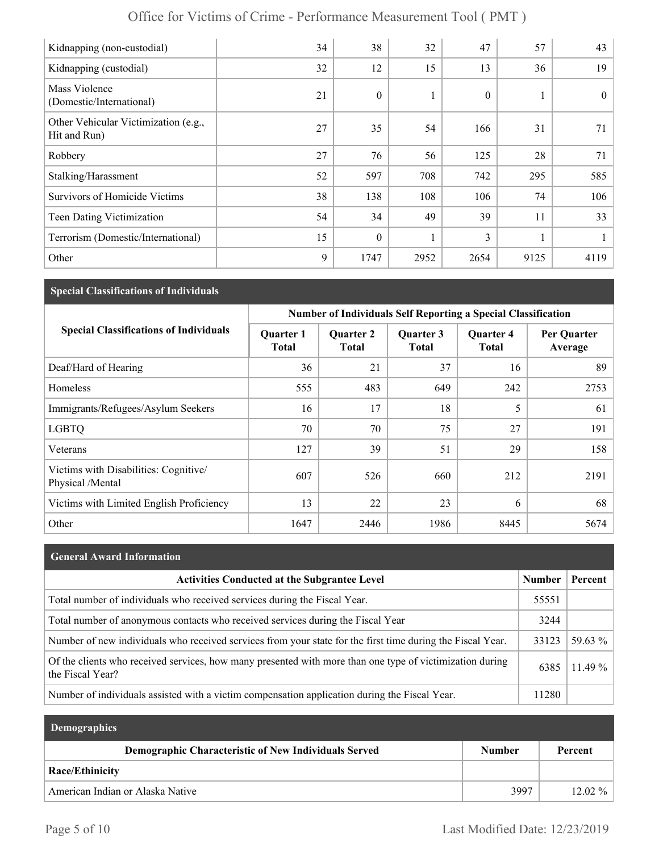| Office for Victims of Crime - Performance Measurement Tool (PMT) |  |
|------------------------------------------------------------------|--|
|------------------------------------------------------------------|--|

| Kidnapping (non-custodial)                           | 34 | 38               | 32           | 47           | 57   | 43       |
|------------------------------------------------------|----|------------------|--------------|--------------|------|----------|
| Kidnapping (custodial)                               | 32 | 12               | 15           | 13           | 36   | 19       |
| Mass Violence<br>(Domestic/International)            | 21 | $\boldsymbol{0}$ |              | $\mathbf{0}$ |      | $\theta$ |
| Other Vehicular Victimization (e.g.,<br>Hit and Run) | 27 | 35               | 54           | 166          | 31   | 71       |
| Robbery                                              | 27 | 76               | 56           | 125          | 28   | 71       |
| Stalking/Harassment                                  | 52 | 597              | 708          | 742          | 295  | 585      |
| Survivors of Homicide Victims                        | 38 | 138              | 108          | 106          | 74   | 106      |
| Teen Dating Victimization                            | 54 | 34               | 49           | 39           | 11   | 33       |
| Terrorism (Domestic/International)                   | 15 | $\mathbf{0}$     | $\mathbf{1}$ | 3            |      |          |
| Other                                                | 9  | 1747             | 2952         | 2654         | 9125 | 4119     |

## **Special Classifications of Individuals**

|                                                           | <b>Number of Individuals Self Reporting a Special Classification</b> |                                  |                           |                                  |                        |  |
|-----------------------------------------------------------|----------------------------------------------------------------------|----------------------------------|---------------------------|----------------------------------|------------------------|--|
| <b>Special Classifications of Individuals</b>             | <b>Quarter 1</b><br><b>Total</b>                                     | <b>Quarter 2</b><br><b>Total</b> | Quarter 3<br><b>Total</b> | <b>Quarter 4</b><br><b>Total</b> | Per Quarter<br>Average |  |
| Deaf/Hard of Hearing                                      | 36                                                                   | 21                               | 37                        | 16                               | 89                     |  |
| Homeless                                                  | 555                                                                  | 483                              | 649                       | 242                              | 2753                   |  |
| Immigrants/Refugees/Asylum Seekers                        | 16                                                                   | 17                               | 18                        | 5                                | 61                     |  |
| <b>LGBTQ</b>                                              | 70                                                                   | 70                               | 75                        | 27                               | 191                    |  |
| Veterans                                                  | 127                                                                  | 39                               | 51                        | 29                               | 158                    |  |
| Victims with Disabilities: Cognitive/<br>Physical /Mental | 607                                                                  | 526                              | 660                       | 212                              | 2191                   |  |
| Victims with Limited English Proficiency                  | 13                                                                   | 22                               | 23                        | 6                                | 68                     |  |
| Other                                                     | 1647                                                                 | 2446                             | 1986                      | 8445                             | 5674                   |  |

| <b>General Award Information</b> |  |
|----------------------------------|--|
|----------------------------------|--|

| <b>Activities Conducted at the Subgrantee Level</b>                                                                          | <b>Number</b> | Percent   |
|------------------------------------------------------------------------------------------------------------------------------|---------------|-----------|
| Total number of individuals who received services during the Fiscal Year.                                                    | 55551         |           |
| Total number of anonymous contacts who received services during the Fiscal Year                                              | 3244          |           |
| Number of new individuals who received services from your state for the first time during the Fiscal Year.                   | 33123         | $59.63\%$ |
| Of the clients who received services, how many presented with more than one type of victimization during<br>the Fiscal Year? | 6385          | $11.49\%$ |
| Number of individuals assisted with a victim compensation application during the Fiscal Year.                                | 11280         |           |

| <b>Demographics</b>                                         |        |           |
|-------------------------------------------------------------|--------|-----------|
| <b>Demographic Characteristic of New Individuals Served</b> | Number | Percent   |
| Race/Ethinicity                                             |        |           |
| American Indian or Alaska Native                            | 3997   | $12.02\%$ |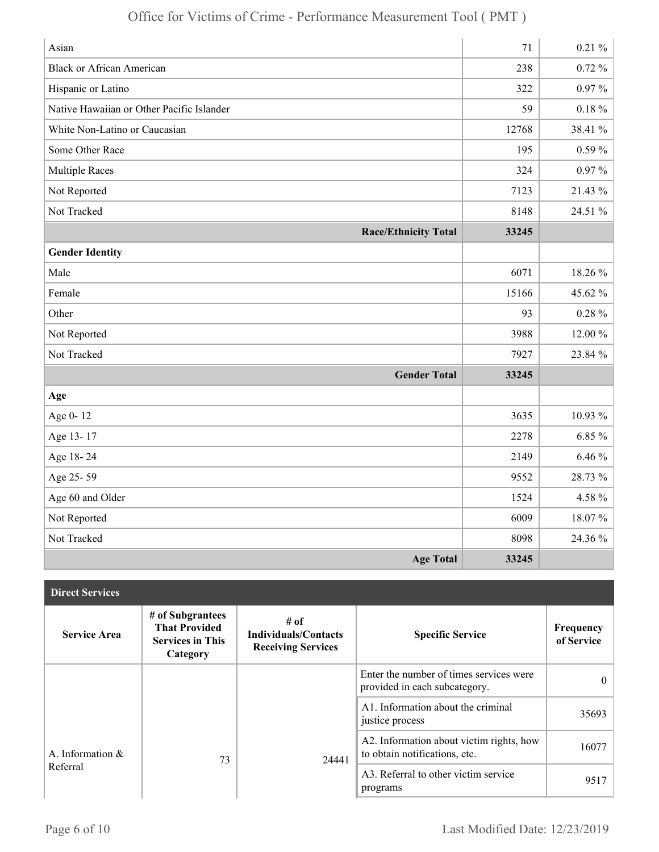| Asian                                     | 71    | $0.21 \%$  |
|-------------------------------------------|-------|------------|
| <b>Black or African American</b>          | 238   | $0.72 \%$  |
| Hispanic or Latino                        | 322   | $0.97\%$   |
| Native Hawaiian or Other Pacific Islander | 59    | $0.18\ \%$ |
| White Non-Latino or Caucasian             | 12768 | 38.41 %    |
| Some Other Race                           | 195   | $0.59\%$   |
| <b>Multiple Races</b>                     | 324   | $0.97\%$   |
| Not Reported                              | 7123  | 21.43 %    |
| Not Tracked                               | 8148  | 24.51 %    |
| <b>Race/Ethnicity Total</b>               | 33245 |            |
| <b>Gender Identity</b>                    |       |            |
| Male                                      | 6071  | 18.26 %    |
| Female                                    | 15166 | 45.62 %    |
| Other                                     | 93    | $0.28 \%$  |
| Not Reported                              | 3988  | 12.00 %    |
| Not Tracked                               | 7927  | 23.84 %    |
| <b>Gender Total</b>                       | 33245 |            |
| Age                                       |       |            |
| Age 0-12                                  | 3635  | 10.93 %    |
| Age 13-17                                 | 2278  | $6.85\%$   |
| Age 18-24                                 | 2149  | $6.46\%$   |
| Age 25-59                                 | 9552  | 28.73 %    |
| Age 60 and Older                          | 1524  | 4.58 %     |
| Not Reported                              | 6009  | 18.07%     |
| Not Tracked                               | 8098  | 24.36 %    |
| <b>Age Total</b>                          | 33245 |            |

| <b>Direct Services</b> |                                                                                 |                                                                  |                                                                           |                         |
|------------------------|---------------------------------------------------------------------------------|------------------------------------------------------------------|---------------------------------------------------------------------------|-------------------------|
| <b>Service Area</b>    | # of Subgrantees<br><b>That Provided</b><br><b>Services in This</b><br>Category | # of<br><b>Individuals/Contacts</b><br><b>Receiving Services</b> | <b>Specific Service</b>                                                   | Frequency<br>of Service |
|                        |                                                                                 |                                                                  | Enter the number of times services were<br>provided in each subcategory.  | $\Omega$                |
|                        |                                                                                 |                                                                  | A1. Information about the criminal<br>justice process                     | 35693                   |
| A. Information $\&$    | 73                                                                              | 24441                                                            | A2. Information about victim rights, how<br>to obtain notifications, etc. | 16077                   |
| Referral               |                                                                                 |                                                                  | A3. Referral to other victim service<br>programs                          | 9517                    |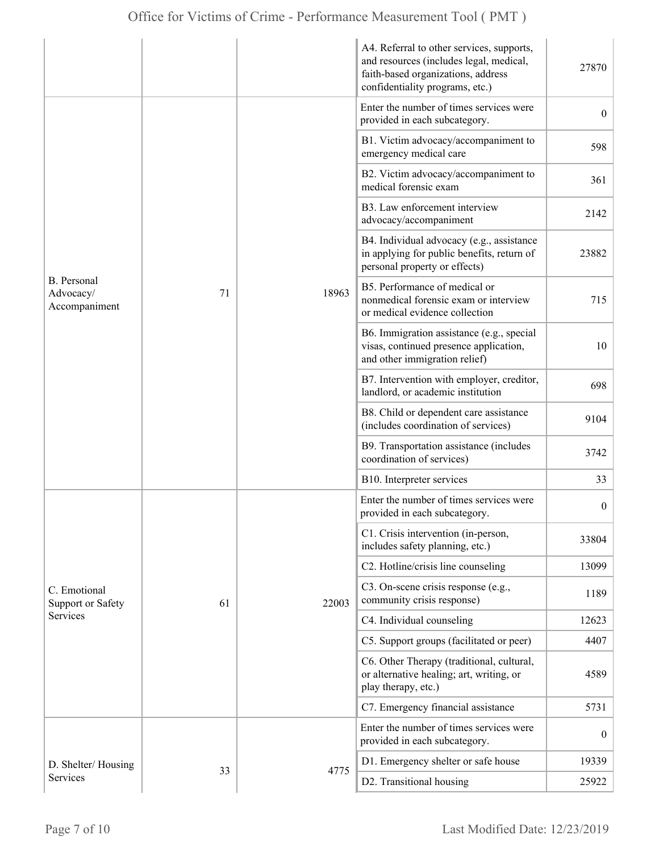|                                                  |    |       | A4. Referral to other services, supports,<br>and resources (includes legal, medical,<br>faith-based organizations, address<br>confidentiality programs, etc.) | 27870            |
|--------------------------------------------------|----|-------|---------------------------------------------------------------------------------------------------------------------------------------------------------------|------------------|
|                                                  |    |       | Enter the number of times services were<br>provided in each subcategory.                                                                                      | $\overline{0}$   |
|                                                  |    |       | B1. Victim advocacy/accompaniment to<br>emergency medical care                                                                                                | 598              |
|                                                  |    |       | B2. Victim advocacy/accompaniment to<br>medical forensic exam                                                                                                 | 361              |
|                                                  |    |       | B3. Law enforcement interview<br>advocacy/accompaniment                                                                                                       | 2142             |
|                                                  |    |       | B4. Individual advocacy (e.g., assistance<br>in applying for public benefits, return of<br>personal property or effects)                                      | 23882            |
| <b>B.</b> Personal<br>Advocacy/<br>Accompaniment | 71 | 18963 | B5. Performance of medical or<br>nonmedical forensic exam or interview<br>or medical evidence collection                                                      | 715              |
|                                                  |    |       | B6. Immigration assistance (e.g., special<br>visas, continued presence application,<br>and other immigration relief)                                          | 10               |
|                                                  |    |       | B7. Intervention with employer, creditor,<br>landlord, or academic institution                                                                                | 698              |
|                                                  |    |       | B8. Child or dependent care assistance<br>(includes coordination of services)                                                                                 | 9104             |
|                                                  |    |       | B9. Transportation assistance (includes<br>coordination of services)                                                                                          | 3742             |
|                                                  |    |       | B10. Interpreter services                                                                                                                                     | 33               |
|                                                  |    |       | Enter the number of times services were<br>provided in each subcategory.                                                                                      | $\boldsymbol{0}$ |
|                                                  |    |       | C1. Crisis intervention (in-person,<br>includes safety planning, etc.)                                                                                        | 33804            |
|                                                  |    |       | C2. Hotline/crisis line counseling                                                                                                                            | 13099            |
| C. Emotional<br><b>Support or Safety</b>         | 61 | 22003 | C3. On-scene crisis response (e.g.,<br>community crisis response)                                                                                             | 1189             |
| Services                                         |    |       | C4. Individual counseling                                                                                                                                     | 12623            |
|                                                  |    |       | C5. Support groups (facilitated or peer)                                                                                                                      | 4407             |
|                                                  |    |       | C6. Other Therapy (traditional, cultural,<br>or alternative healing; art, writing, or<br>play therapy, etc.)                                                  | 4589             |
|                                                  |    |       | C7. Emergency financial assistance                                                                                                                            | 5731             |
|                                                  |    |       | Enter the number of times services were<br>provided in each subcategory.                                                                                      | $\overline{0}$   |
| D. Shelter/Housing                               |    |       | D1. Emergency shelter or safe house                                                                                                                           | 19339            |
| Services                                         | 33 | 4775  | D2. Transitional housing                                                                                                                                      | 25922            |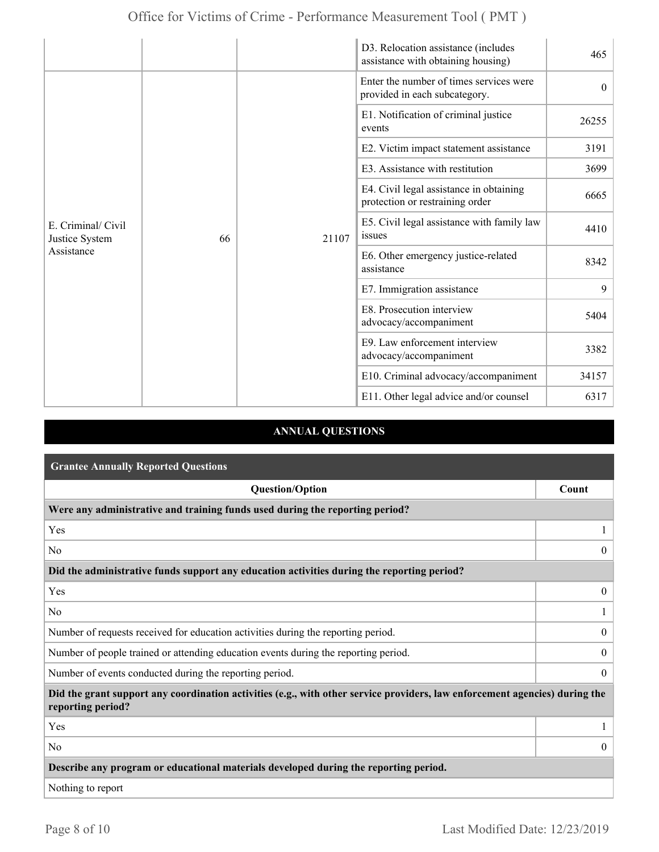|                                                    |    |       | D3. Relocation assistance (includes<br>assistance with obtaining housing)  | 465      |
|----------------------------------------------------|----|-------|----------------------------------------------------------------------------|----------|
|                                                    |    |       | Enter the number of times services were<br>provided in each subcategory.   | $\theta$ |
|                                                    |    |       | E1. Notification of criminal justice<br>events                             | 26255    |
|                                                    |    | 21107 | E2. Victim impact statement assistance                                     | 3191     |
|                                                    |    |       | E3. Assistance with restitution                                            | 3699     |
| E. Criminal/ Civil<br>Justice System<br>Assistance |    |       | E4. Civil legal assistance in obtaining<br>protection or restraining order | 6665     |
|                                                    | 66 |       | E5. Civil legal assistance with family law<br>issues                       | 4410     |
|                                                    |    |       | E6. Other emergency justice-related<br>assistance                          | 8342     |
|                                                    |    |       | E7. Immigration assistance                                                 | 9        |
|                                                    |    |       | E8. Prosecution interview<br>advocacy/accompaniment                        | 5404     |
|                                                    |    |       | E9. Law enforcement interview<br>advocacy/accompaniment                    | 3382     |
|                                                    |    |       | E10. Criminal advocacy/accompaniment                                       | 34157    |
|                                                    |    |       | E11. Other legal advice and/or counsel                                     | 6317     |

### **ANNUAL QUESTIONS**

| <b>Grantee Annually Reported Questions</b>                                                                                                       |                  |
|--------------------------------------------------------------------------------------------------------------------------------------------------|------------------|
| <b>Question/Option</b>                                                                                                                           | Count            |
| Were any administrative and training funds used during the reporting period?                                                                     |                  |
| Yes                                                                                                                                              |                  |
| N <sub>0</sub>                                                                                                                                   | $\theta$         |
| Did the administrative funds support any education activities during the reporting period?                                                       |                  |
| Yes                                                                                                                                              | $\overline{0}$   |
| N <sub>0</sub>                                                                                                                                   |                  |
| Number of requests received for education activities during the reporting period.                                                                | $\boldsymbol{0}$ |
| Number of people trained or attending education events during the reporting period.                                                              | $\overline{0}$   |
| Number of events conducted during the reporting period.                                                                                          | $\boldsymbol{0}$ |
| Did the grant support any coordination activities (e.g., with other service providers, law enforcement agencies) during the<br>reporting period? |                  |
| Yes                                                                                                                                              |                  |
| N <sub>0</sub>                                                                                                                                   | $\overline{0}$   |
| Describe any program or educational materials developed during the reporting period.                                                             |                  |
| Nothing to report                                                                                                                                |                  |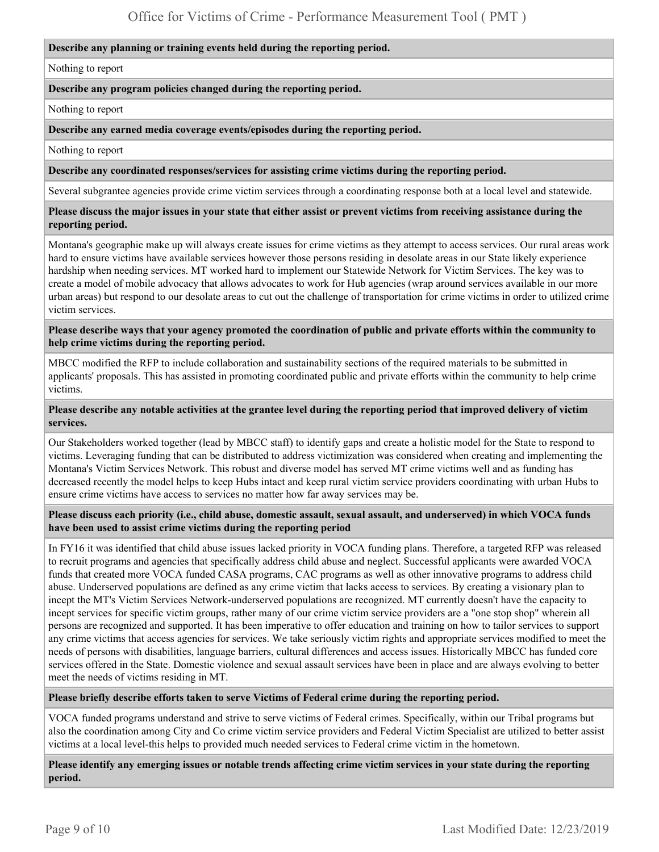#### **Describe any planning or training events held during the reporting period.**

Nothing to report

#### **Describe any program policies changed during the reporting period.**

Nothing to report

**Describe any earned media coverage events/episodes during the reporting period.** 

Nothing to report

**Describe any coordinated responses/services for assisting crime victims during the reporting period.** 

Several subgrantee agencies provide crime victim services through a coordinating response both at a local level and statewide.

**Please discuss the major issues in your state that either assist or prevent victims from receiving assistance during the reporting period.** 

Montana's geographic make up will always create issues for crime victims as they attempt to access services. Our rural areas work hard to ensure victims have available services however those persons residing in desolate areas in our State likely experience hardship when needing services. MT worked hard to implement our Statewide Network for Victim Services. The key was to create a model of mobile advocacy that allows advocates to work for Hub agencies (wrap around services available in our more urban areas) but respond to our desolate areas to cut out the challenge of transportation for crime victims in order to utilized crime victim services.

**Please describe ways that your agency promoted the coordination of public and private efforts within the community to help crime victims during the reporting period.** 

MBCC modified the RFP to include collaboration and sustainability sections of the required materials to be submitted in applicants' proposals. This has assisted in promoting coordinated public and private efforts within the community to help crime victims.

#### **Please describe any notable activities at the grantee level during the reporting period that improved delivery of victim services.**

Our Stakeholders worked together (lead by MBCC staff) to identify gaps and create a holistic model for the State to respond to victims. Leveraging funding that can be distributed to address victimization was considered when creating and implementing the Montana's Victim Services Network. This robust and diverse model has served MT crime victims well and as funding has decreased recently the model helps to keep Hubs intact and keep rural victim service providers coordinating with urban Hubs to ensure crime victims have access to services no matter how far away services may be.

**Please discuss each priority (i.e., child abuse, domestic assault, sexual assault, and underserved) in which VOCA funds have been used to assist crime victims during the reporting period** 

In FY16 it was identified that child abuse issues lacked priority in VOCA funding plans. Therefore, a targeted RFP was released to recruit programs and agencies that specifically address child abuse and neglect. Successful applicants were awarded VOCA funds that created more VOCA funded CASA programs, CAC programs as well as other innovative programs to address child abuse. Underserved populations are defined as any crime victim that lacks access to services. By creating a visionary plan to incept the MT's Victim Services Network-underserved populations are recognized. MT currently doesn't have the capacity to incept services for specific victim groups, rather many of our crime victim service providers are a "one stop shop" wherein all persons are recognized and supported. It has been imperative to offer education and training on how to tailor services to support any crime victims that access agencies for services. We take seriously victim rights and appropriate services modified to meet the needs of persons with disabilities, language barriers, cultural differences and access issues. Historically MBCC has funded core services offered in the State. Domestic violence and sexual assault services have been in place and are always evolving to better meet the needs of victims residing in MT.

**Please briefly describe efforts taken to serve Victims of Federal crime during the reporting period.** 

VOCA funded programs understand and strive to serve victims of Federal crimes. Specifically, within our Tribal programs but also the coordination among City and Co crime victim service providers and Federal Victim Specialist are utilized to better assist victims at a local level-this helps to provided much needed services to Federal crime victim in the hometown.

**Please identify any emerging issues or notable trends affecting crime victim services in your state during the reporting period.**